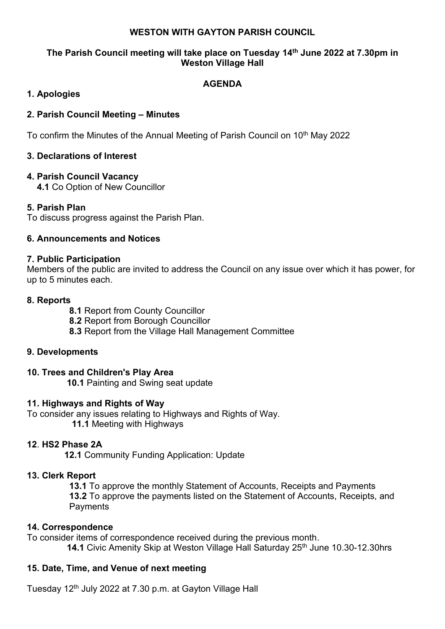#### **WESTON WITH GAYTON PARISH COUNCIL**

### **The Parish Council meeting will take place on Tuesday 14 th June 2022 at 7.30pm in Weston Village Hall**

## **AGENDA**

# **1. Apologies**

## **2. Parish Council Meeting – Minutes**

To confirm the Minutes of the Annual Meeting of Parish Council on 10<sup>th</sup> May 2022

# **3. Declarations of Interest**

# **4. Parish Council Vacancy**

**4.1** Co Option of New Councillor

## **5. Parish Plan**

To discuss progress against the Parish Plan.

## **6. Announcements and Notices**

#### **7. Public Participation**

Members of the public are invited to address the Council on any issue over which it has power, for up to 5 minutes each.

## **8. Reports**

**8.1** Report from County Councillor

**8.2** Report from Borough Councillor

**8.3** Report from the Village Hall Management Committee

## **9. Developments**

## **10. Trees and Children's Play Area**

 **10.1** Painting and Swing seat update

## **11. Highways and Rights of Way**

To consider any issues relating to Highways and Rights of Way.

**11.1** Meeting with Highways

## **12**. **HS2 Phase 2A**

 **12.1** Community Funding Application: Update

## **13. Clerk Report**

**13.1** To approve the monthly Statement of Accounts, Receipts and Payments **13.2** To approve the payments listed on the Statement of Accounts, Receipts, and **Payments** 

## **14. Correspondence**

To consider items of correspondence received during the previous month. **14.1 Civic Amenity Skip at Weston Village Hall Saturday 25<sup>th</sup> June 10.30-12.30hrs** 

## **15. Date, Time, and Venue of next meeting**

Tuesday 12<sup>th</sup> July 2022 at 7.30 p.m. at Gayton Village Hall